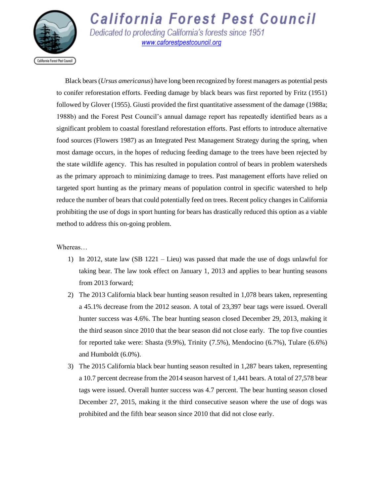

**California Forest Pest Council** Dedicated to protecting California's forests since 1951

www.caforestpestcouncil.org

 Black bears (*Ursus americanus*) have long been recognized by forest managers as potential pests to conifer reforestation efforts. Feeding damage by black bears was first reported by Fritz (1951) followed by Glover (1955). Giusti provided the first quantitative assessment of the damage (1988a; 1988b) and the Forest Pest Council's annual damage report has repeatedly identified bears as a significant problem to coastal forestland reforestation efforts. Past efforts to introduce alternative food sources (Flowers 1987) as an Integrated Pest Management Strategy during the spring, when most damage occurs, in the hopes of reducing feeding damage to the trees have been rejected by the state wildlife agency. This has resulted in population control of bears in problem watersheds as the primary approach to minimizing damage to trees. Past management efforts have relied on targeted sport hunting as the primary means of population control in specific watershed to help reduce the number of bears that could potentially feed on trees. Recent policy changes in California prohibiting the use of dogs in sport hunting for bears has drastically reduced this option as a viable method to address this on-going problem.

## Whereas…

- 1) In 2012, state law (SB 1221 Lieu) was passed that made the use of dogs unlawful for taking bear. The law took effect on January 1, 2013 and applies to bear hunting seasons from 2013 forward;
- 2) The 2013 California black bear hunting season resulted in 1,078 bears taken, representing a 45.1% decrease from the 2012 season. A total of 23,397 bear tags were issued. Overall hunter success was 4.6%. The bear hunting season closed December 29, 2013, making it the third season since 2010 that the bear season did not close early. The top five counties for reported take were: Shasta (9.9%), Trinity (7.5%), Mendocino (6.7%), Tulare (6.6%) and Humboldt (6.0%).
- 3) The 2015 California black bear hunting season resulted in 1,287 bears taken, representing a 10.7 percent decrease from the 2014 season harvest of 1,441 bears. A total of 27,578 bear tags were issued. Overall hunter success was 4.7 percent. The bear hunting season closed December 27, 2015, making it the third consecutive season where the use of dogs was prohibited and the fifth bear season since 2010 that did not close early.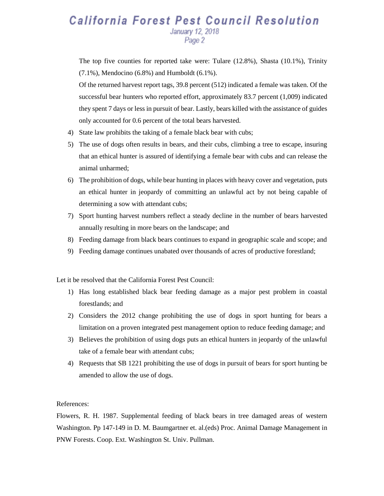## **California Forest Pest Council Resolution** January 12, 2018 Page 2

The top five counties for reported take were: Tulare (12.8%), Shasta (10.1%), Trinity (7.1%), Mendocino (6.8%) and Humboldt (6.1%).

Of the returned harvest report tags, 39.8 percent (512) indicated a female was taken. Of the successful bear hunters who reported effort, approximately 83.7 percent (1,009) indicated they spent 7 days or less in pursuit of bear. Lastly, bears killed with the assistance of guides only accounted for 0.6 percent of the total bears harvested.

- 4) State law prohibits the taking of a female black bear with cubs;
- 5) The use of dogs often results in bears, and their cubs, climbing a tree to escape, insuring that an ethical hunter is assured of identifying a female bear with cubs and can release the animal unharmed;
- 6) The prohibition of dogs, while bear hunting in places with heavy cover and vegetation, puts an ethical hunter in jeopardy of committing an unlawful act by not being capable of determining a sow with attendant cubs;
- 7) Sport hunting harvest numbers reflect a steady decline in the number of bears harvested annually resulting in more bears on the landscape; and
- 8) Feeding damage from black bears continues to expand in geographic scale and scope; and
- 9) Feeding damage continues unabated over thousands of acres of productive forestland;

Let it be resolved that the California Forest Pest Council:

- 1) Has long established black bear feeding damage as a major pest problem in coastal forestlands; and
- 2) Considers the 2012 change prohibiting the use of dogs in sport hunting for bears a limitation on a proven integrated pest management option to reduce feeding damage; and
- 3) Believes the prohibition of using dogs puts an ethical hunters in jeopardy of the unlawful take of a female bear with attendant cubs;
- 4) Requests that SB 1221 prohibiting the use of dogs in pursuit of bears for sport hunting be amended to allow the use of dogs.

## References:

Flowers, R. H. 1987. Supplemental feeding of black bears in tree damaged areas of western Washington. Pp 147-149 in D. M. Baumgartner et. al.(eds) Proc. Animal Damage Management in PNW Forests. Coop. Ext. Washington St. Univ. Pullman.